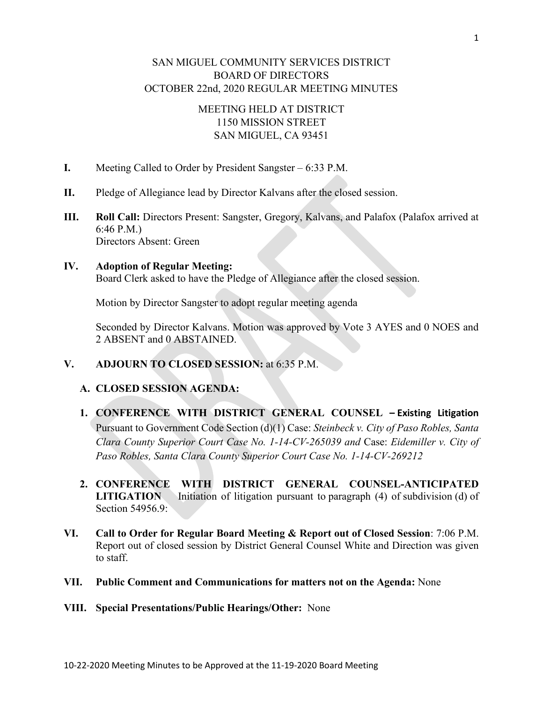# SAN MIGUEL COMMUNITY SERVICES DISTRICT BOARD OF DIRECTORS OCTOBER 22nd, 2020 REGULAR MEETING MINUTES

# MEETING HELD AT DISTRICT 1150 MISSION STREET SAN MIGUEL, CA 93451

- **I.** Meeting Called to Order by President Sangster 6:33 P.M.
- **II.** Pledge of Allegiance lead by Director Kalvans after the closed session.
- **III. Roll Call:** Directors Present: Sangster, Gregory, Kalvans, and Palafox (Palafox arrived at 6:46 P.M.) Directors Absent: Green

# **IV. Adoption of Regular Meeting:**

Board Clerk asked to have the Pledge of Allegiance after the closed session.

Motion by Director Sangster to adopt regular meeting agenda

Seconded by Director Kalvans. Motion was approved by Vote 3 AYES and 0 NOES and 2 ABSENT and 0 ABSTAINED.

**V. ADJOURN TO CLOSED SESSION:** at 6:35 P.M.

# **A. CLOSED SESSION AGENDA:**

- **1. CONFERENCE WITH DISTRICT GENERAL COUNSEL – Existing Litigation**  Pursuant to Government Code Section (d)(1) Case: *Steinbeck v. City of Paso Robles, Santa Clara County Superior Court Case No. 1-14-CV-265039 and* Case: *Eidemiller v. City of Paso Robles, Santa Clara County Superior Court Case No. 1-14-CV-269212*
- **2. CONFERENCE WITH DISTRICT GENERAL COUNSEL-ANTICIPATED LITIGATION** Initiation of litigation pursuant to [paragraph \(4\) of](https://1.next.westlaw.com/Link/Document/FullText?findType=L&pubNum=1000211&cite=CAGTS54956.9&originatingDoc=NBA587F500DE511E28A628CD7CECCD897&refType=SP&originationContext=document&transitionType=DocumentItem&contextData=(sc.Category)#co_pp_5ba1000067d06) subdivision (d) of [Section 54956.9:](https://1.next.westlaw.com/Link/Document/FullText?findType=L&pubNum=1000211&cite=CAGTS54956.9&originatingDoc=NBA587F500DE511E28A628CD7CECCD897&refType=SP&originationContext=document&transitionType=DocumentItem&contextData=(sc.Category)#co_pp_5ba1000067d06)
- **VI. Call to Order for Regular Board Meeting & Report out of Closed Session**: 7:06 P.M. Report out of closed session by District General Counsel White and Direction was given to staff.
- **VII. Public Comment and Communications for matters not on the Agenda:** None
- **VIII. Special Presentations/Public Hearings/Other:** None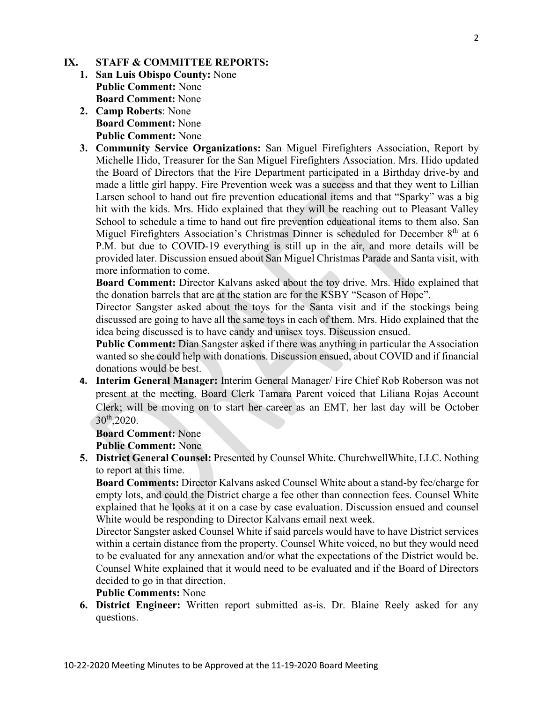#### **IX. STAFF & COMMITTEE REPORTS:**

- **1. San Luis Obispo County:** None **Public Comment:** None **Board Comment:** None
- **2. Camp Roberts**: None **Board Comment:** None **Public Comment:** None
- **3. Community Service Organizations:** San Miguel Firefighters Association, Report by Michelle Hido, Treasurer for the San Miguel Firefighters Association. Mrs. Hido updated the Board of Directors that the Fire Department participated in a Birthday drive-by and made a little girl happy. Fire Prevention week was a success and that they went to Lillian Larsen school to hand out fire prevention educational items and that "Sparky" was a big hit with the kids. Mrs. Hido explained that they will be reaching out to Pleasant Valley School to schedule a time to hand out fire prevention educational items to them also. San Miguel Firefighters Association's Christmas Dinner is scheduled for December  $8<sup>th</sup>$  at 6 P.M. but due to COVID-19 everything is still up in the air, and more details will be provided later. Discussion ensued about San Miguel Christmas Parade and Santa visit, with more information to come.

**Board Comment:** Director Kalvans asked about the toy drive. Mrs. Hido explained that the donation barrels that are at the station are for the KSBY "Season of Hope".

Director Sangster asked about the toys for the Santa visit and if the stockings being discussed are going to have all the same toys in each of them. Mrs. Hido explained that the idea being discussed is to have candy and unisex toys. Discussion ensued.

**Public Comment:** Dian Sangster asked if there was anything in particular the Association wanted so she could help with donations. Discussion ensued, about COVID and if financial donations would be best.

**4. Interim General Manager:** Interim General Manager/ Fire Chief Rob Roberson was not present at the meeting. Board Clerk Tamara Parent voiced that Liliana Rojas Account Clerk; will be moving on to start her career as an EMT, her last day will be October 30th,2020.

#### **Board Comment:** None

**Public Comment:** None

**5. District General Counsel:** Presented by Counsel White. ChurchwellWhite, LLC. Nothing to report at this time.

**Board Comments:** Director Kalvans asked Counsel White about a stand-by fee/charge for empty lots, and could the District charge a fee other than connection fees. Counsel White explained that he looks at it on a case by case evaluation. Discussion ensued and counsel White would be responding to Director Kalvans email next week.

Director Sangster asked Counsel White if said parcels would have to have District services within a certain distance from the property. Counsel White voiced, no but they would need to be evaluated for any annexation and/or what the expectations of the District would be. Counsel White explained that it would need to be evaluated and if the Board of Directors decided to go in that direction.

# **Public Comments:** None

**6. District Engineer:** Written report submitted as-is. Dr. Blaine Reely asked for any questions.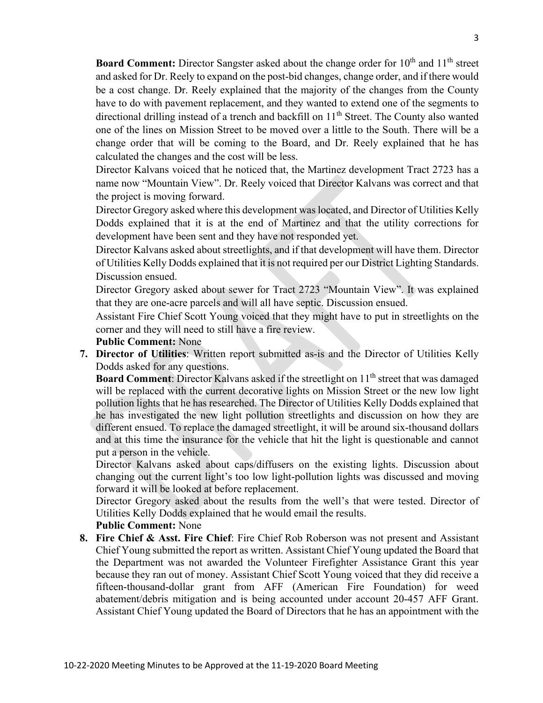**Board Comment:** Director Sangster asked about the change order for 10<sup>th</sup> and 11<sup>th</sup> street and asked for Dr. Reely to expand on the post-bid changes, change order, and if there would be a cost change. Dr. Reely explained that the majority of the changes from the County have to do with pavement replacement, and they wanted to extend one of the segments to directional drilling instead of a trench and backfill on  $11<sup>th</sup>$  Street. The County also wanted one of the lines on Mission Street to be moved over a little to the South. There will be a change order that will be coming to the Board, and Dr. Reely explained that he has calculated the changes and the cost will be less.

Director Kalvans voiced that he noticed that, the Martinez development Tract 2723 has a name now "Mountain View". Dr. Reely voiced that Director Kalvans was correct and that the project is moving forward.

Director Gregory asked where this development was located, and Director of Utilities Kelly Dodds explained that it is at the end of Martinez and that the utility corrections for development have been sent and they have not responded yet.

Director Kalvans asked about streetlights, and if that development will have them. Director of Utilities Kelly Dodds explained that it is not required per our District Lighting Standards. Discussion ensued.

Director Gregory asked about sewer for Tract 2723 "Mountain View". It was explained that they are one-acre parcels and will all have septic. Discussion ensued.

Assistant Fire Chief Scott Young voiced that they might have to put in streetlights on the corner and they will need to still have a fire review.

### **Public Comment:** None

**7. Director of Utilities**: Written report submitted as-is and the Director of Utilities Kelly Dodds asked for any questions.

**Board Comment:** Director Kalvans asked if the streetlight on 11<sup>th</sup> street that was damaged will be replaced with the current decorative lights on Mission Street or the new low light pollution lights that he has researched. The Director of Utilities Kelly Dodds explained that he has investigated the new light pollution streetlights and discussion on how they are different ensued. To replace the damaged streetlight, it will be around six-thousand dollars and at this time the insurance for the vehicle that hit the light is questionable and cannot put a person in the vehicle.

Director Kalvans asked about caps/diffusers on the existing lights. Discussion about changing out the current light's too low light-pollution lights was discussed and moving forward it will be looked at before replacement.

Director Gregory asked about the results from the well's that were tested. Director of Utilities Kelly Dodds explained that he would email the results.

#### **Public Comment:** None

**8. Fire Chief & Asst. Fire Chief**: Fire Chief Rob Roberson was not present and Assistant Chief Young submitted the report as written. Assistant Chief Young updated the Board that the Department was not awarded the Volunteer Firefighter Assistance Grant this year because they ran out of money. Assistant Chief Scott Young voiced that they did receive a fifteen-thousand-dollar grant from AFF (American Fire Foundation) for weed abatement/debris mitigation and is being accounted under account 20-457 AFF Grant. Assistant Chief Young updated the Board of Directors that he has an appointment with the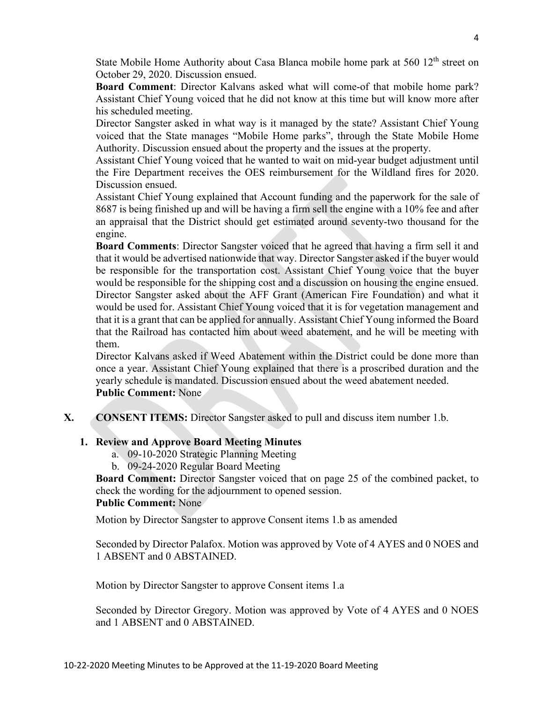State Mobile Home Authority about Casa Blanca mobile home park at  $560\;12^{th}$  street on October 29, 2020. Discussion ensued.

**Board Comment**: Director Kalvans asked what will come-of that mobile home park? Assistant Chief Young voiced that he did not know at this time but will know more after his scheduled meeting.

Director Sangster asked in what way is it managed by the state? Assistant Chief Young voiced that the State manages "Mobile Home parks", through the State Mobile Home Authority. Discussion ensued about the property and the issues at the property.

Assistant Chief Young voiced that he wanted to wait on mid-year budget adjustment until the Fire Department receives the OES reimbursement for the Wildland fires for 2020. Discussion ensued.

Assistant Chief Young explained that Account funding and the paperwork for the sale of 8687 is being finished up and will be having a firm sell the engine with a 10% fee and after an appraisal that the District should get estimated around seventy-two thousand for the engine.

**Board Comments**: Director Sangster voiced that he agreed that having a firm sell it and that it would be advertised nationwide that way. Director Sangster asked if the buyer would be responsible for the transportation cost. Assistant Chief Young voice that the buyer would be responsible for the shipping cost and a discussion on housing the engine ensued. Director Sangster asked about the AFF Grant (American Fire Foundation) and what it would be used for. Assistant Chief Young voiced that it is for vegetation management and that it is a grant that can be applied for annually. Assistant Chief Young informed the Board that the Railroad has contacted him about weed abatement, and he will be meeting with them.

Director Kalvans asked if Weed Abatement within the District could be done more than once a year. Assistant Chief Young explained that there is a proscribed duration and the yearly schedule is mandated. Discussion ensued about the weed abatement needed. **Public Comment:** None

**X. CONSENT ITEMS:** Director Sangster asked to pull and discuss item number 1.b.

# **1. Review and Approve Board Meeting Minutes**

- a. 09-10-2020 Strategic Planning Meeting
- b. 09-24-2020 Regular Board Meeting

**Board Comment:** Director Sangster voiced that on page 25 of the combined packet, to check the wording for the adjournment to opened session. **Public Comment:** None

Motion by Director Sangster to approve Consent items 1.b as amended

Seconded by Director Palafox. Motion was approved by Vote of 4 AYES and 0 NOES and 1 ABSENT and 0 ABSTAINED.

Motion by Director Sangster to approve Consent items 1.a

Seconded by Director Gregory. Motion was approved by Vote of 4 AYES and 0 NOES and 1 ABSENT and 0 ABSTAINED.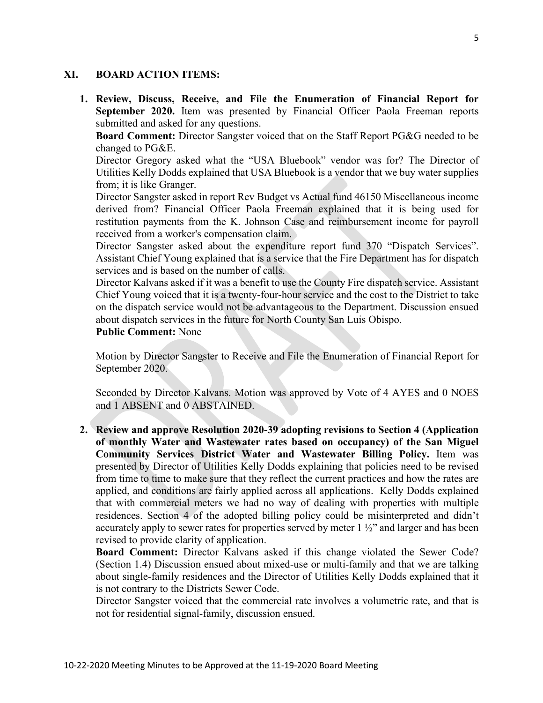### **XI. BOARD ACTION ITEMS:**

**1. Review, Discuss, Receive, and File the Enumeration of Financial Report for September 2020.** Item was presented by Financial Officer Paola Freeman reports submitted and asked for any questions.

**Board Comment:** Director Sangster voiced that on the Staff Report PG&G needed to be changed to PG&E.

Director Gregory asked what the "USA Bluebook" vendor was for? The Director of Utilities Kelly Dodds explained that USA Bluebook is a vendor that we buy water supplies from; it is like Granger.

Director Sangster asked in report Rev Budget vs Actual fund 46150 Miscellaneous income derived from? Financial Officer Paola Freeman explained that it is being used for restitution payments from the K. Johnson Case and reimbursement income for payroll received from a worker's compensation claim.

Director Sangster asked about the expenditure report fund 370 "Dispatch Services". Assistant Chief Young explained that is a service that the Fire Department has for dispatch services and is based on the number of calls.

Director Kalvans asked if it was a benefit to use the County Fire dispatch service. Assistant Chief Young voiced that it is a twenty-four-hour service and the cost to the District to take on the dispatch service would not be advantageous to the Department. Discussion ensued about dispatch services in the future for North County San Luis Obispo.

# **Public Comment:** None

Motion by Director Sangster to Receive and File the Enumeration of Financial Report for September 2020.

Seconded by Director Kalvans. Motion was approved by Vote of 4 AYES and 0 NOES and 1 ABSENT and 0 ABSTAINED.

**2. Review and approve Resolution 2020-39 adopting revisions to Section 4 (Application of monthly Water and Wastewater rates based on occupancy) of the San Miguel Community Services District Water and Wastewater Billing Policy.** Item was presented by Director of Utilities Kelly Dodds explaining that policies need to be revised from time to time to make sure that they reflect the current practices and how the rates are applied, and conditions are fairly applied across all applications. Kelly Dodds explained that with commercial meters we had no way of dealing with properties with multiple residences. Section 4 of the adopted billing policy could be misinterpreted and didn't accurately apply to sewer rates for properties served by meter  $1\frac{1}{2}$  and larger and has been revised to provide clarity of application.

**Board Comment:** Director Kalvans asked if this change violated the Sewer Code? (Section 1.4) Discussion ensued about mixed-use or multi-family and that we are talking about single-family residences and the Director of Utilities Kelly Dodds explained that it is not contrary to the Districts Sewer Code.

Director Sangster voiced that the commercial rate involves a volumetric rate, and that is not for residential signal-family, discussion ensued.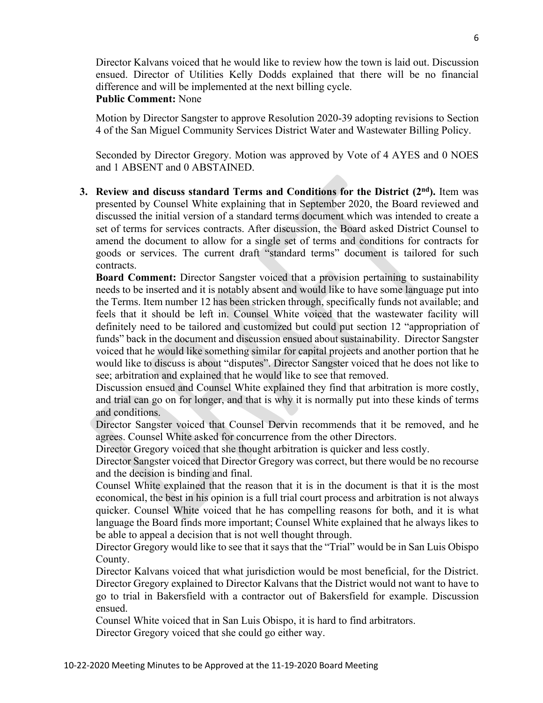Director Kalvans voiced that he would like to review how the town is laid out. Discussion ensued. Director of Utilities Kelly Dodds explained that there will be no financial difference and will be implemented at the next billing cycle. **Public Comment:** None

Motion by Director Sangster to approve Resolution 2020-39 adopting revisions to Section 4 of the San Miguel Community Services District Water and Wastewater Billing Policy.

Seconded by Director Gregory. Motion was approved by Vote of 4 AYES and 0 NOES and 1 ABSENT and 0 ABSTAINED.

**3. Review and discuss standard Terms and Conditions for the District (2nd).** Item was presented by Counsel White explaining that in September 2020, the Board reviewed and discussed the initial version of a standard terms document which was intended to create a set of terms for services contracts. After discussion, the Board asked District Counsel to amend the document to allow for a single set of terms and conditions for contracts for goods or services. The current draft "standard terms" document is tailored for such contracts.

**Board Comment:** Director Sangster voiced that a provision pertaining to sustainability needs to be inserted and it is notably absent and would like to have some language put into the Terms. Item number 12 has been stricken through, specifically funds not available; and feels that it should be left in. Counsel White voiced that the wastewater facility will definitely need to be tailored and customized but could put section 12 "appropriation of funds" back in the document and discussion ensued about sustainability. Director Sangster voiced that he would like something similar for capital projects and another portion that he would like to discuss is about "disputes". Director Sangster voiced that he does not like to see; arbitration and explained that he would like to see that removed.

Discussion ensued and Counsel White explained they find that arbitration is more costly, and trial can go on for longer, and that is why it is normally put into these kinds of terms and conditions.

Director Sangster voiced that Counsel Dervin recommends that it be removed, and he agrees. Counsel White asked for concurrence from the other Directors.

Director Gregory voiced that she thought arbitration is quicker and less costly.

Director Sangster voiced that Director Gregory was correct, but there would be no recourse and the decision is binding and final.

Counsel White explained that the reason that it is in the document is that it is the most economical, the best in his opinion is a full trial court process and arbitration is not always quicker. Counsel White voiced that he has compelling reasons for both, and it is what language the Board finds more important; Counsel White explained that he always likes to be able to appeal a decision that is not well thought through.

Director Gregory would like to see that it says that the "Trial" would be in San Luis Obispo County.

Director Kalvans voiced that what jurisdiction would be most beneficial, for the District. Director Gregory explained to Director Kalvans that the District would not want to have to go to trial in Bakersfield with a contractor out of Bakersfield for example. Discussion ensued.

Counsel White voiced that in San Luis Obispo, it is hard to find arbitrators.

Director Gregory voiced that she could go either way.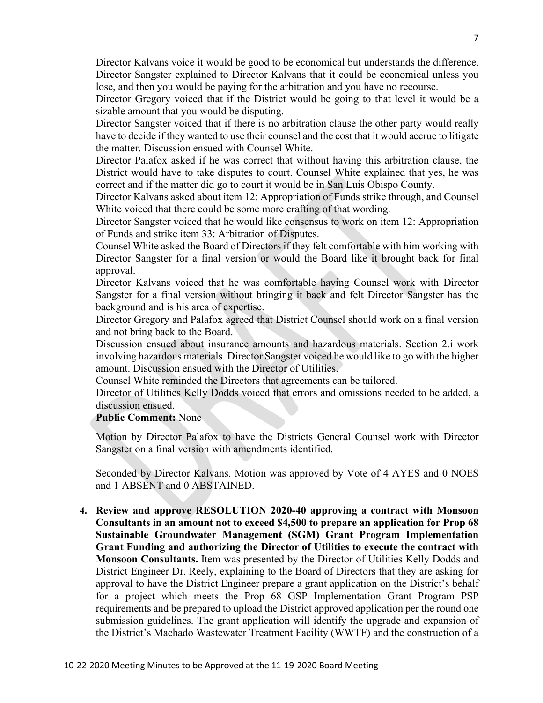Director Kalvans voice it would be good to be economical but understands the difference. Director Sangster explained to Director Kalvans that it could be economical unless you lose, and then you would be paying for the arbitration and you have no recourse.

Director Gregory voiced that if the District would be going to that level it would be a sizable amount that you would be disputing.

Director Sangster voiced that if there is no arbitration clause the other party would really have to decide if they wanted to use their counsel and the cost that it would accrue to litigate the matter. Discussion ensued with Counsel White.

Director Palafox asked if he was correct that without having this arbitration clause, the District would have to take disputes to court. Counsel White explained that yes, he was correct and if the matter did go to court it would be in San Luis Obispo County.

Director Kalvans asked about item 12: Appropriation of Funds strike through, and Counsel White voiced that there could be some more crafting of that wording.

Director Sangster voiced that he would like consensus to work on item 12: Appropriation of Funds and strike item 33: Arbitration of Disputes.

Counsel White asked the Board of Directors if they felt comfortable with him working with Director Sangster for a final version or would the Board like it brought back for final approval.

Director Kalvans voiced that he was comfortable having Counsel work with Director Sangster for a final version without bringing it back and felt Director Sangster has the background and is his area of expertise.

Director Gregory and Palafox agreed that District Counsel should work on a final version and not bring back to the Board.

Discussion ensued about insurance amounts and hazardous materials. Section 2.i work involving hazardous materials. Director Sangster voiced he would like to go with the higher amount. Discussion ensued with the Director of Utilities.

Counsel White reminded the Directors that agreements can be tailored.

Director of Utilities Kelly Dodds voiced that errors and omissions needed to be added, a discussion ensued.

#### **Public Comment:** None

Motion by Director Palafox to have the Districts General Counsel work with Director Sangster on a final version with amendments identified.

Seconded by Director Kalvans. Motion was approved by Vote of 4 AYES and 0 NOES and 1 ABSENT and 0 ABSTAINED.

**4. Review and approve RESOLUTION 2020-40 approving a contract with Monsoon Consultants in an amount not to exceed \$4,500 to prepare an application for Prop 68 Sustainable Groundwater Management (SGM) Grant Program Implementation Grant Funding and authorizing the Director of Utilities to execute the contract with Monsoon Consultants.** Item was presented by the Director of Utilities Kelly Dodds and District Engineer Dr. Reely, explaining to the Board of Directors that they are asking for approval to have the District Engineer prepare a grant application on the District's behalf for a project which meets the Prop 68 GSP Implementation Grant Program PSP requirements and be prepared to upload the District approved application per the round one submission guidelines. The grant application will identify the upgrade and expansion of the District's Machado Wastewater Treatment Facility (WWTF) and the construction of a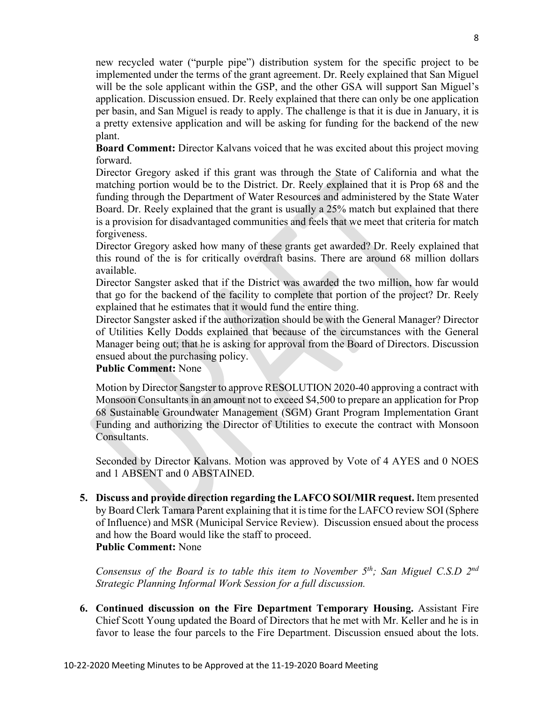new recycled water ("purple pipe") distribution system for the specific project to be implemented under the terms of the grant agreement. Dr. Reely explained that San Miguel will be the sole applicant within the GSP, and the other GSA will support San Miguel's application. Discussion ensued. Dr. Reely explained that there can only be one application per basin, and San Miguel is ready to apply. The challenge is that it is due in January, it is a pretty extensive application and will be asking for funding for the backend of the new plant.

**Board Comment:** Director Kalvans voiced that he was excited about this project moving forward.

Director Gregory asked if this grant was through the State of California and what the matching portion would be to the District. Dr. Reely explained that it is Prop 68 and the funding through the Department of Water Resources and administered by the State Water Board. Dr. Reely explained that the grant is usually a 25% match but explained that there is a provision for disadvantaged communities and feels that we meet that criteria for match forgiveness.

Director Gregory asked how many of these grants get awarded? Dr. Reely explained that this round of the is for critically overdraft basins. There are around 68 million dollars available.

Director Sangster asked that if the District was awarded the two million, how far would that go for the backend of the facility to complete that portion of the project? Dr. Reely explained that he estimates that it would fund the entire thing.

Director Sangster asked if the authorization should be with the General Manager? Director of Utilities Kelly Dodds explained that because of the circumstances with the General Manager being out; that he is asking for approval from the Board of Directors. Discussion ensued about the purchasing policy.

# **Public Comment:** None

Motion by Director Sangster to approve RESOLUTION 2020-40 approving a contract with Monsoon Consultants in an amount not to exceed \$4,500 to prepare an application for Prop 68 Sustainable Groundwater Management (SGM) Grant Program Implementation Grant Funding and authorizing the Director of Utilities to execute the contract with Monsoon Consultants.

Seconded by Director Kalvans. Motion was approved by Vote of 4 AYES and 0 NOES and 1 ABSENT and 0 ABSTAINED.

**5. Discuss and provide direction regarding the LAFCO SOI/MIR request.** Item presented by Board Clerk Tamara Parent explaining that it is time for the LAFCO review SOI (Sphere of Influence) and MSR (Municipal Service Review). Discussion ensued about the process and how the Board would like the staff to proceed. **Public Comment:** None

*Consensus of the Board is to table this item to November 5th; San Miguel C.S.D 2nd Strategic Planning Informal Work Session for a full discussion.*

**6. Continued discussion on the Fire Department Temporary Housing.** Assistant Fire Chief Scott Young updated the Board of Directors that he met with Mr. Keller and he is in favor to lease the four parcels to the Fire Department. Discussion ensued about the lots.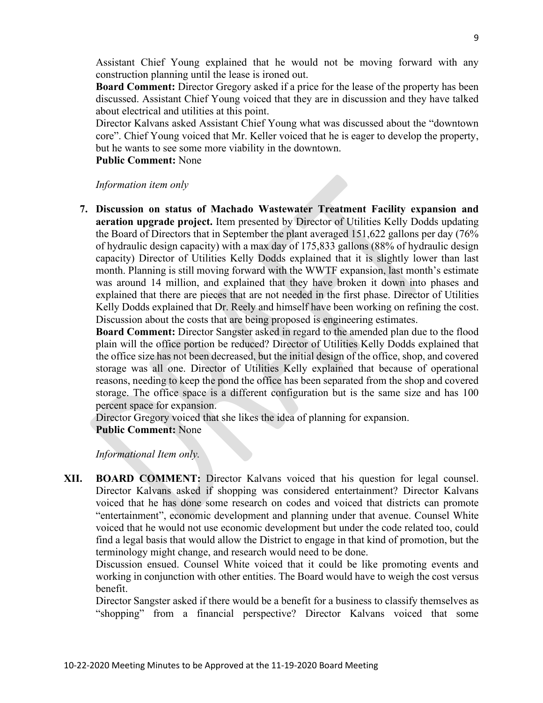Assistant Chief Young explained that he would not be moving forward with any construction planning until the lease is ironed out.

**Board Comment:** Director Gregory asked if a price for the lease of the property has been discussed. Assistant Chief Young voiced that they are in discussion and they have talked about electrical and utilities at this point.

Director Kalvans asked Assistant Chief Young what was discussed about the "downtown core". Chief Young voiced that Mr. Keller voiced that he is eager to develop the property, but he wants to see some more viability in the downtown.

**Public Comment:** None

#### *Information item only*

**7. Discussion on status of Machado Wastewater Treatment Facility expansion and aeration upgrade project.** Item presented by Director of Utilities Kelly Dodds updating the Board of Directors that in September the plant averaged 151,622 gallons per day (76% of hydraulic design capacity) with a max day of 175,833 gallons (88% of hydraulic design capacity) Director of Utilities Kelly Dodds explained that it is slightly lower than last month. Planning is still moving forward with the WWTF expansion, last month's estimate was around 14 million, and explained that they have broken it down into phases and explained that there are pieces that are not needed in the first phase. Director of Utilities Kelly Dodds explained that Dr. Reely and himself have been working on refining the cost. Discussion about the costs that are being proposed is engineering estimates.

**Board Comment:** Director Sangster asked in regard to the amended plan due to the flood plain will the office portion be reduced? Director of Utilities Kelly Dodds explained that the office size has not been decreased, but the initial design of the office, shop, and covered storage was all one. Director of Utilities Kelly explained that because of operational reasons, needing to keep the pond the office has been separated from the shop and covered storage. The office space is a different configuration but is the same size and has 100 percent space for expansion.

Director Gregory voiced that she likes the idea of planning for expansion.

**Public Comment:** None

*Informational Item only.*

**XII. BOARD COMMENT:** Director Kalvans voiced that his question for legal counsel. Director Kalvans asked if shopping was considered entertainment? Director Kalvans voiced that he has done some research on codes and voiced that districts can promote "entertainment", economic development and planning under that avenue. Counsel White voiced that he would not use economic development but under the code related too, could find a legal basis that would allow the District to engage in that kind of promotion, but the terminology might change, and research would need to be done.

Discussion ensued. Counsel White voiced that it could be like promoting events and working in conjunction with other entities. The Board would have to weigh the cost versus benefit.

Director Sangster asked if there would be a benefit for a business to classify themselves as "shopping" from a financial perspective? Director Kalvans voiced that some